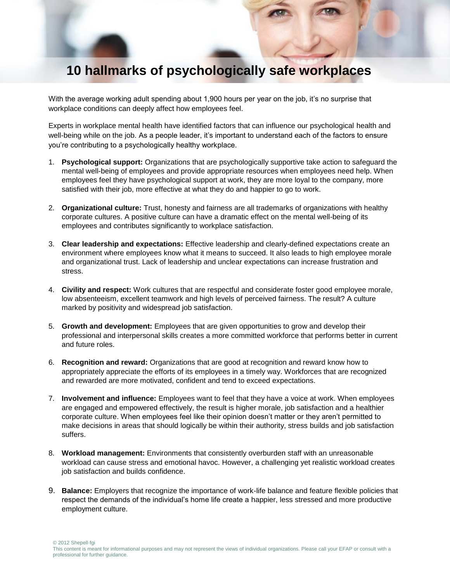## **10 hallmarks of psychologically safe workplaces**

With the average working adult spending about 1,900 hours per year on the job, it's no surprise that workplace conditions can deeply affect how employees feel.

Experts in workplace mental health have identified factors that can influence our psychological health and well-being while on the job. As a people leader, it's important to understand each of the factors to ensure you're contributing to a psychologically healthy workplace.

- 1. **Psychological support:** Organizations that are psychologically supportive take action to safeguard the mental well-being of employees and provide appropriate resources when employees need help. When employees feel they have psychological support at work, they are more loyal to the company, more satisfied with their job, more effective at what they do and happier to go to work.
- 2. **Organizational culture:** Trust, honesty and fairness are all trademarks of organizations with healthy corporate cultures. A positive culture can have a dramatic effect on the mental well-being of its employees and contributes significantly to workplace satisfaction.
- 3. **Clear leadership and expectations:** Effective leadership and clearly-defined expectations create an environment where employees know what it means to succeed. It also leads to high employee morale and organizational trust. Lack of leadership and unclear expectations can increase frustration and stress.
- 4. **Civility and respect:** Work cultures that are respectful and considerate foster good employee morale, low absenteeism, excellent teamwork and high levels of perceived fairness. The result? A culture marked by positivity and widespread job satisfaction.
- 5. **Growth and development:** Employees that are given opportunities to grow and develop their professional and interpersonal skills creates a more committed workforce that performs better in current and future roles.
- 6. **Recognition and reward:** Organizations that are good at recognition and reward know how to appropriately appreciate the efforts of its employees in a timely way. Workforces that are recognized and rewarded are more motivated, confident and tend to exceed expectations.
- 7. **Involvement and influence:** Employees want to feel that they have a voice at work. When employees are engaged and empowered effectively, the result is higher morale, job satisfaction and a healthier corporate culture. When employees feel like their opinion doesn't matter or they aren't permitted to make decisions in areas that should logically be within their authority, stress builds and job satisfaction suffers.
- 8. **Workload management:** Environments that consistently overburden staff with an unreasonable workload can cause stress and emotional havoc. However, a challenging yet realistic workload creates job satisfaction and builds confidence.
- 9. **Balance:** Employers that recognize the importance of work-life balance and feature flexible policies that respect the demands of the individual's home life create a happier, less stressed and more productive employment culture.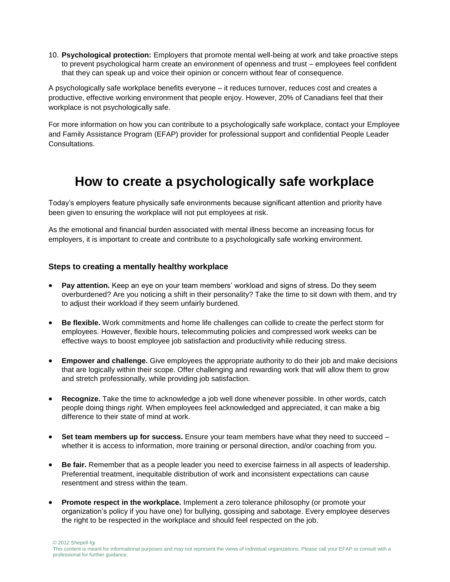10. **Psychological protection:** Employers that promote mental well-being at work and take proactive steps to prevent psychological harm create an environment of openness and trust – employees feel confident that they can speak up and voice their opinion or concern without fear of consequence.

A psychologically safe workplace benefits everyone – it reduces turnover, reduces cost and creates a productive, effective working environment that people enjoy. However, 20% of Canadians feel that their workplace is not psychologically safe.

For more information on how you can contribute to a psychologically safe workplace, contact your Employee and Family Assistance Program (EFAP) provider for professional support and confidential People Leader Consultations.

## **How to create a psychologically safe workplace**

Today's employers feature physically safe environments because significant attention and priority have been given to ensuring the workplace will not put employees at risk.

As the emotional and financial burden associated with mental illness become an increasing focus for employers, it is important to create and contribute to a psychologically safe working environment.

## **Steps to creating a mentally healthy workplace**

- **Pay attention.** Keep an eye on your team members' workload and signs of stress. Do they seem overburdened? Are you noticing a shift in their personality? Take the time to sit down with them, and try to adjust their workload if they seem unfairly burdened.
- **Be flexible.** Work commitments and home life challenges can collide to create the perfect storm for employees. However, flexible hours, telecommuting policies and compressed work weeks can be effective ways to boost employee job satisfaction and productivity while reducing stress.
- **Empower and challenge.** Give employees the appropriate authority to do their job and make decisions that are logically within their scope. Offer challenging and rewarding work that will allow them to grow and stretch professionally, while providing job satisfaction.
- **Recognize.** Take the time to acknowledge a job well done whenever possible. In other words, catch people doing things *right.* When employees feel acknowledged and appreciated, it can make a big difference to their state of mind at work.
- **Set team members up for success.** Ensure your team members have what they need to succeed whether it is access to information, more training or personal direction, and/or coaching from you.
- **Be fair.** Remember that as a people leader you need to exercise fairness in all aspects of leadership. Preferential treatment, inequitable distribution of work and inconsistent expectations can cause resentment and stress within the team.
- **Promote respect in the workplace.** Implement a zero tolerance philosophy (or promote your organization's policy if you have one) for bullying, gossiping and sabotage. Every employee deserves the right to be respected in the workplace and should feel respected on the job.